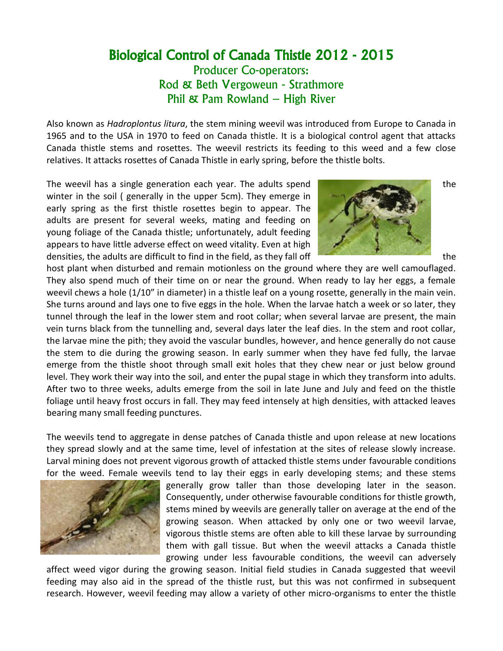## Biological Control of Canada Thistle 2012 - 2015

Producer Co-operators: Rod & Beth Vergoweun - Strathmore Phil & Pam Rowland – High River

Also known as *Hadroplontus litura*, the stem mining weevil was introduced from Europe to Canada in 1965 and to the USA in 1970 to feed on Canada thistle. It is a biological control agent that attacks Canada thistle stems and rosettes. The weevil restricts its feeding to this weed and a few close relatives. It attacks rosettes of Canada Thistle in early spring, before the thistle bolts.

The weevil has a single generation each year. The adults spend winter in the soil ( generally in the upper 5cm). They emerge in early spring as the first thistle rosettes begin to appear. The adults are present for several weeks, mating and feeding on young foliage of the Canada thistle; unfortunately, adult feeding appears to have little adverse effect on weed vitality. Even at high densities, the adults are difficult to find in the field, as they fall off the the the the



host plant when disturbed and remain motionless on the ground where they are well camouflaged. They also spend much of their time on or near the ground. When ready to lay her eggs, a female weevil chews a hole (1/10" in diameter) in a thistle leaf on a young rosette, generally in the main vein. She turns around and lays one to five eggs in the hole. When the larvae hatch a week or so later, they tunnel through the leaf in the lower stem and root collar; when several larvae are present, the main vein turns black from the tunnelling and, several days later the leaf dies. In the stem and root collar, the larvae mine the pith; they avoid the vascular bundles, however, and hence generally do not cause the stem to die during the growing season. In early summer when they have fed fully, the larvae emerge from the thistle shoot through small exit holes that they chew near or just below ground level. They work their way into the soil, and enter the pupal stage in which they transform into adults. After two to three weeks, adults emerge from the soil in late June and July and feed on the thistle foliage until heavy frost occurs in fall. They may feed intensely at high densities, with attacked leaves bearing many small feeding punctures.

The weevils tend to aggregate in dense patches of Canada thistle and upon release at new locations they spread slowly and at the same time, level of infestation at the sites of release slowly increase. Larval mining does not prevent vigorous growth of attacked thistle stems under favourable conditions for the weed. Female weevils tend to lay their eggs in early developing stems; and these stems



generally grow taller than those developing later in the season. Consequently, under otherwise favourable conditions for thistle growth, stems mined by weevils are generally taller on average at the end of the growing season. When attacked by only one or two weevil larvae, vigorous thistle stems are often able to kill these larvae by surrounding them with gall tissue. But when the weevil attacks a Canada thistle growing under less favourable conditions, the weevil can adversely

affect weed vigor during the growing season. Initial field studies in Canada suggested that weevil feeding may also aid in the spread of the thistle rust, but this was not confirmed in subsequent research. However, weevil feeding may allow a variety of other micro-organisms to enter the thistle